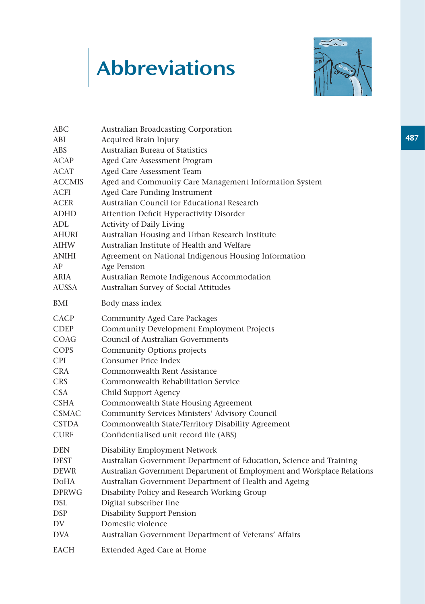## Abbreviations



| ABC          | Australian Broadcasting Corporation                                    |
|--------------|------------------------------------------------------------------------|
| ABI          | Acquired Brain Injury                                                  |
| ABS          | <b>Australian Bureau of Statistics</b>                                 |
| ACAP         | Aged Care Assessment Program                                           |
| ACAT         | Aged Care Assessment Team                                              |
| ACCMIS       | Aged and Community Care Management Information System                  |
| ACFI         | Aged Care Funding Instrument                                           |
| ACER         | Australian Council for Educational Research                            |
| ADHD         | Attention Deficit Hyperactivity Disorder                               |
| ADL          | Activity of Daily Living                                               |
| AHURI        | Australian Housing and Urban Research Institute                        |
| AIHW         | Australian Institute of Health and Welfare                             |
| ANIHI        | Agreement on National Indigenous Housing Information                   |
| ΑP           | Age Pension                                                            |
| ARIA         | Australian Remote Indigenous Accommodation                             |
| AUSSA        | Australian Survey of Social Attitudes                                  |
| BMI          | Body mass index                                                        |
| CACP         | Community Aged Care Packages                                           |
| CDEP         | Community Development Employment Projects                              |
| COAG         | Council of Australian Governments                                      |
| COPS         | Community Options projects                                             |
| CPI          | <b>Consumer Price Index</b>                                            |
| CRA          | Commonwealth Rent Assistance                                           |
| <b>CRS</b>   | Commonwealth Rehabilitation Service                                    |
| CSA          | Child Support Agency                                                   |
| <b>CSHA</b>  | Commonwealth State Housing Agreement                                   |
| CSMAC        | Community Services Ministers' Advisory Council                         |
| CSTDA        | Commonwealth State/Territory Disability Agreement                      |
| CURF         | Confidentialised unit record file (ABS)                                |
| DEN          | Disability Employment Network                                          |
| <b>DEST</b>  | Australian Government Department of Education, Science and Training    |
| DEWR         | Australian Government Department of Employment and Workplace Relations |
| DoHA         | Australian Government Department of Health and Ageing                  |
| <b>DPRWG</b> | Disability Policy and Research Working Group                           |
| DSL          | Digital subscriber line                                                |
| DSP          | <b>Disability Support Pension</b>                                      |
| DV           | Domestic violence                                                      |
| DVA          | Australian Government Department of Veterans' Affairs                  |
| EACH         | Extended Aged Care at Home                                             |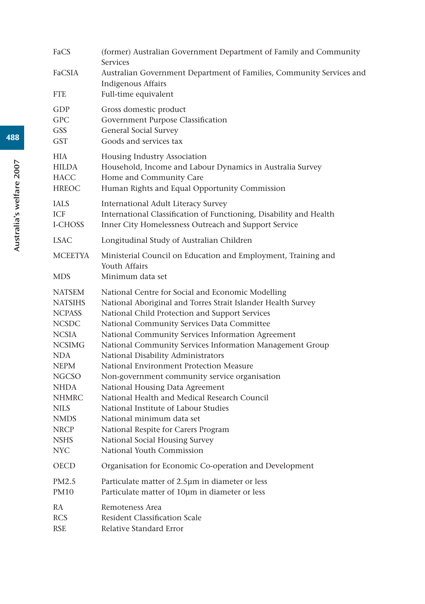| FaCS                                                                                                                                                                                                                                             | (former) Australian Government Department of Family and Community<br><b>Services</b>                                                                                                                                                                                                                                                                                                                                                                                                                                                                                                                                                                                                                                               |
|--------------------------------------------------------------------------------------------------------------------------------------------------------------------------------------------------------------------------------------------------|------------------------------------------------------------------------------------------------------------------------------------------------------------------------------------------------------------------------------------------------------------------------------------------------------------------------------------------------------------------------------------------------------------------------------------------------------------------------------------------------------------------------------------------------------------------------------------------------------------------------------------------------------------------------------------------------------------------------------------|
| FaCSIA                                                                                                                                                                                                                                           | Australian Government Department of Families, Community Services and                                                                                                                                                                                                                                                                                                                                                                                                                                                                                                                                                                                                                                                               |
| <b>FTE</b>                                                                                                                                                                                                                                       | <b>Indigenous Affairs</b><br>Full-time equivalent                                                                                                                                                                                                                                                                                                                                                                                                                                                                                                                                                                                                                                                                                  |
| GDP<br><b>GPC</b><br><b>GSS</b><br><b>GST</b>                                                                                                                                                                                                    | Gross domestic product<br>Government Purpose Classification<br>General Social Survey<br>Goods and services tax                                                                                                                                                                                                                                                                                                                                                                                                                                                                                                                                                                                                                     |
| <b>HIA</b><br><b>HILDA</b><br><b>HACC</b><br><b>HREOC</b>                                                                                                                                                                                        | Housing Industry Association<br>Household, Income and Labour Dynamics in Australia Survey<br>Home and Community Care<br>Human Rights and Equal Opportunity Commission                                                                                                                                                                                                                                                                                                                                                                                                                                                                                                                                                              |
| <b>IALS</b><br>ICF<br>I-CHOSS                                                                                                                                                                                                                    | International Adult Literacy Survey<br>International Classification of Functioning, Disability and Health<br>Inner City Homelessness Outreach and Support Service                                                                                                                                                                                                                                                                                                                                                                                                                                                                                                                                                                  |
| <b>LSAC</b>                                                                                                                                                                                                                                      | Longitudinal Study of Australian Children                                                                                                                                                                                                                                                                                                                                                                                                                                                                                                                                                                                                                                                                                          |
| <b>MCEETYA</b>                                                                                                                                                                                                                                   | Ministerial Council on Education and Employment, Training and<br>Youth Affairs                                                                                                                                                                                                                                                                                                                                                                                                                                                                                                                                                                                                                                                     |
| MDS.                                                                                                                                                                                                                                             | Minimum data set                                                                                                                                                                                                                                                                                                                                                                                                                                                                                                                                                                                                                                                                                                                   |
| <b>NATSEM</b><br><b>NATSIHS</b><br><b>NCPASS</b><br><b>NCSDC</b><br><b>NCSIA</b><br><b>NCSIMG</b><br>NDA<br><b>NEPM</b><br><b>NGCSO</b><br><b>NHDA</b><br><b>NHMRC</b><br><b>NILS</b><br><b>NMDS</b><br><b>NRCP</b><br><b>NSHS</b><br><b>NYC</b> | National Centre for Social and Economic Modelling<br>National Aboriginal and Torres Strait Islander Health Survey<br>National Child Protection and Support Services<br>National Community Services Data Committee<br>National Community Services Information Agreement<br>National Community Services Information Management Group<br>National Disability Administrators<br>National Environment Protection Measure<br>Non-government community service organisation<br>National Housing Data Agreement<br>National Health and Medical Research Council<br>National Institute of Labour Studies<br>National minimum data set<br>National Respite for Carers Program<br>National Social Housing Survey<br>National Youth Commission |
| <b>OECD</b>                                                                                                                                                                                                                                      | Organisation for Economic Co-operation and Development                                                                                                                                                                                                                                                                                                                                                                                                                                                                                                                                                                                                                                                                             |
| PM2.5<br>PM10                                                                                                                                                                                                                                    | Particulate matter of 2.5µm in diameter or less<br>Particulate matter of 10um in diameter or less                                                                                                                                                                                                                                                                                                                                                                                                                                                                                                                                                                                                                                  |
| RA<br><b>RCS</b><br><b>RSE</b>                                                                                                                                                                                                                   | Remoteness Area<br>Resident Classification Scale<br>Relative Standard Error                                                                                                                                                                                                                                                                                                                                                                                                                                                                                                                                                                                                                                                        |